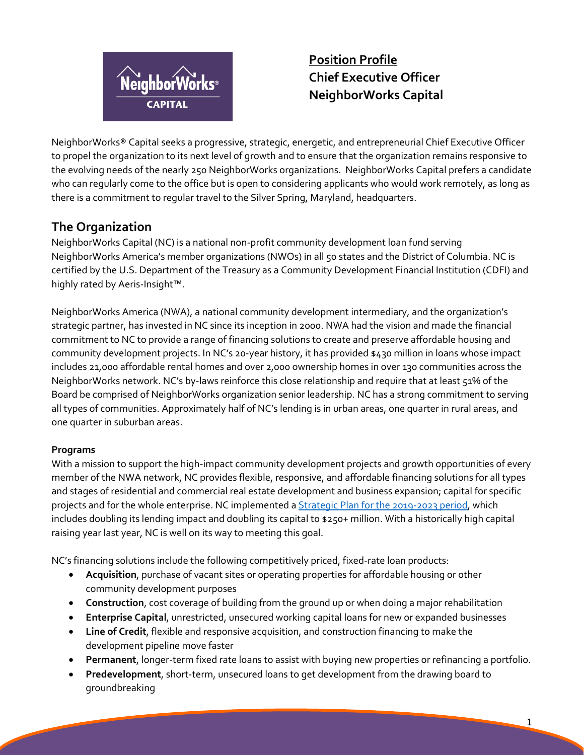

**Position Profile Chief Executive Officer NeighborWorks Capital** 

NeighborWorks® Capital seeks a progressive, strategic, energetic, and entrepreneurial Chief Executive Officer to propel the organization to its next level of growth and to ensure that the organization remains responsive to the evolving needs of the nearly 250 NeighborWorks organizations. NeighborWorks Capital prefers a candidate who can regularly come to the office but is open to considering applicants who would work remotely, as long as there is a commitment to regular travel to the Silver Spring, Maryland, headquarters.

# **The Organization**

NeighborWorks Capital (NC) is a national non-profit community development loan fund serving NeighborWorks America's member organizations (NWOs) in all 50 states and the District of Columbia. NC is certified by the U.S. Department of the Treasury as a Community Development Financial Institution (CDFI) and highly rated by Aeris-Insight™.

NeighborWorks America (NWA), a national community development intermediary, and the organization's strategic partner, has invested in NC since its inception in 2000. NWA had the vision and made the financial commitment to NC to provide a range of financing solutions to create and preserve affordable housing and community development projects. In NC's 20-year history, it has provided \$430 million in loans whose impact includes 21,000 affordable rental homes and over 2,000 ownership homes in over 130 communities across the NeighborWorks network. NC's by-laws reinforce this close relationship and require that at least 51% of the Board be comprised of NeighborWorks organization senior leadership. NC has a strong commitment to serving all types of communities. Approximately half of NC's lending is in urban areas, one quarter in rural areas, and one quarter in suburban areas.

### **Programs**

With a mission to support the high-impact community development projects and growth opportunities of every member of the NWA network, NC provides flexible, responsive, and affordable financing solutions for all types and stages of residential and commercial real estate development and business expansion; capital for specific projects and for the whole enterprise. NC implemented a Strategic Plan for the 2019-2023 period, which includes doubling its lending impact and doubling its capital to \$250+ million. With a historically high capital raising year last year, NC is well on its way to meeting this goal.

NC's financing solutions include the following competitively priced, fixed-rate loan products:

- **Acquisition**, purchase of vacant sites or operating properties for affordable housing or other community development purposes
- **Construction**, cost coverage of building from the ground up or when doing a major rehabilitation
- **Enterprise Capital**, unrestricted, unsecured working capital loans for new or expanded businesses
- **Line of Credit**, flexible and responsive acquisition, and construction financing to make the development pipeline move faster
- **Permanent**, longer-term fixed rate loans to assist with buying new properties or refinancing a portfolio.
- **Predevelopment**, short-term, unsecured loans to get development from the drawing board to groundbreaking

1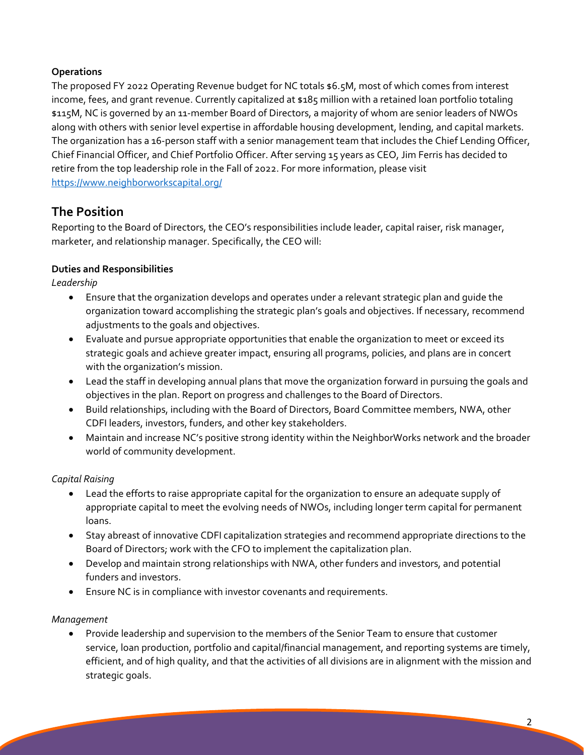### **Operations**

The proposed FY 2022 Operating Revenue budget for NC totals \$6.5M, most of which comes from interest income, fees, and grant revenue. Currently capitalized at \$185 million with a retained loan portfolio totaling \$115M, NC is governed by an 11-member Board of Directors, a majority of whom are senior leaders of NWOs along with others with senior level expertise in affordable housing development, lending, and capital markets. The organization has a 16-person staff with a senior management team that includes the Chief Lending Officer, Chief Financial Officer, and Chief Portfolio Officer. After serving 15 years as CEO, Jim Ferris has decided to retire from the top leadership role in the Fall of 2022. For more information, please visit https://www.neighborworkscapital.org/

# **The Position**

Reporting to the Board of Directors, the CEO's responsibilities include leader, capital raiser, risk manager, marketer, and relationship manager. Specifically, the CEO will:

### **Duties and Responsibilities**

*Leadership* 

- Ensure that the organization develops and operates under a relevant strategic plan and guide the organization toward accomplishing the strategic plan's goals and objectives. If necessary, recommend adjustments to the goals and objectives.
- Evaluate and pursue appropriate opportunities that enable the organization to meet or exceed its strategic goals and achieve greater impact, ensuring all programs, policies, and plans are in concert with the organization's mission.
- Lead the staff in developing annual plans that move the organization forward in pursuing the goals and objectives in the plan. Report on progress and challenges to the Board of Directors.
- Build relationships, including with the Board of Directors, Board Committee members, NWA, other CDFI leaders, investors, funders, and other key stakeholders.
- Maintain and increase NC's positive strong identity within the NeighborWorks network and the broader world of community development.

### *Capital Raising*

- Lead the efforts to raise appropriate capital for the organization to ensure an adequate supply of appropriate capital to meet the evolving needs of NWOs, including longer term capital for permanent loans.
- Stay abreast of innovative CDFI capitalization strategies and recommend appropriate directions to the Board of Directors; work with the CFO to implement the capitalization plan.
- Develop and maintain strong relationships with NWA, other funders and investors, and potential funders and investors.
- Ensure NC is in compliance with investor covenants and requirements.

### *Management*

 Provide leadership and supervision to the members of the Senior Team to ensure that customer service, loan production, portfolio and capital/financial management, and reporting systems are timely, efficient, and of high quality, and that the activities of all divisions are in alignment with the mission and strategic goals.

2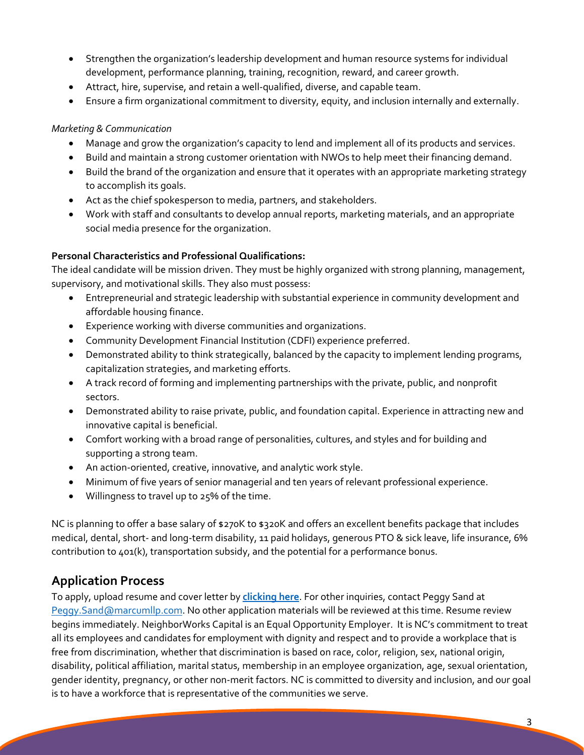- Strengthen the organization's leadership development and human resource systems for individual development, performance planning, training, recognition, reward, and career growth.
- Attract, hire, supervise, and retain a well-qualified, diverse, and capable team.
- Ensure a firm organizational commitment to diversity, equity, and inclusion internally and externally.

#### *Marketing & Communication*

- Manage and grow the organization's capacity to lend and implement all of its products and services.
- Build and maintain a strong customer orientation with NWOs to help meet their financing demand.
- Build the brand of the organization and ensure that it operates with an appropriate marketing strategy to accomplish its goals.
- Act as the chief spokesperson to media, partners, and stakeholders.
- Work with staff and consultants to develop annual reports, marketing materials, and an appropriate social media presence for the organization.

#### **Personal Characteristics and Professional Qualifications:**

The ideal candidate will be mission driven. They must be highly organized with strong planning, management, supervisory, and motivational skills. They also must possess:

- Entrepreneurial and strategic leadership with substantial experience in community development and affordable housing finance.
- Experience working with diverse communities and organizations.
- Community Development Financial Institution (CDFI) experience preferred.
- Demonstrated ability to think strategically, balanced by the capacity to implement lending programs, capitalization strategies, and marketing efforts.
- A track record of forming and implementing partnerships with the private, public, and nonprofit sectors.
- Demonstrated ability to raise private, public, and foundation capital. Experience in attracting new and innovative capital is beneficial.
- Comfort working with a broad range of personalities, cultures, and styles and for building and supporting a strong team.
- An action-oriented, creative, innovative, and analytic work style.
- Minimum of five years of senior managerial and ten years of relevant professional experience.
- Willingness to travel up to 25% of the time.

NC is planning to offer a base salary of \$270K to \$320K and offers an excellent benefits package that includes medical, dental, short- and long-term disability, 11 paid holidays, generous PTO & sick leave, life insurance, 6% contribution to 401(k), transportation subsidy, and the potential for a performance bonus.

# **Application Process**

To apply, upload resume and cover letter by **clicking here**. For other inquiries, contact Peggy Sand at Peggy.Sand@marcumllp.com. No other application materials will be reviewed at this time. Resume review begins immediately. NeighborWorks Capital is an Equal Opportunity Employer. It is NC's commitment to treat all its employees and candidates for employment with dignity and respect and to provide a workplace that is free from discrimination, whether that discrimination is based on race, color, religion, sex, national origin, disability, political affiliation, marital status, membership in an employee organization, age, sexual orientation, gender identity, pregnancy, or other non-merit factors. NC is committed to diversity and inclusion, and our goal is to have a workforce that is representative of the communities we serve.